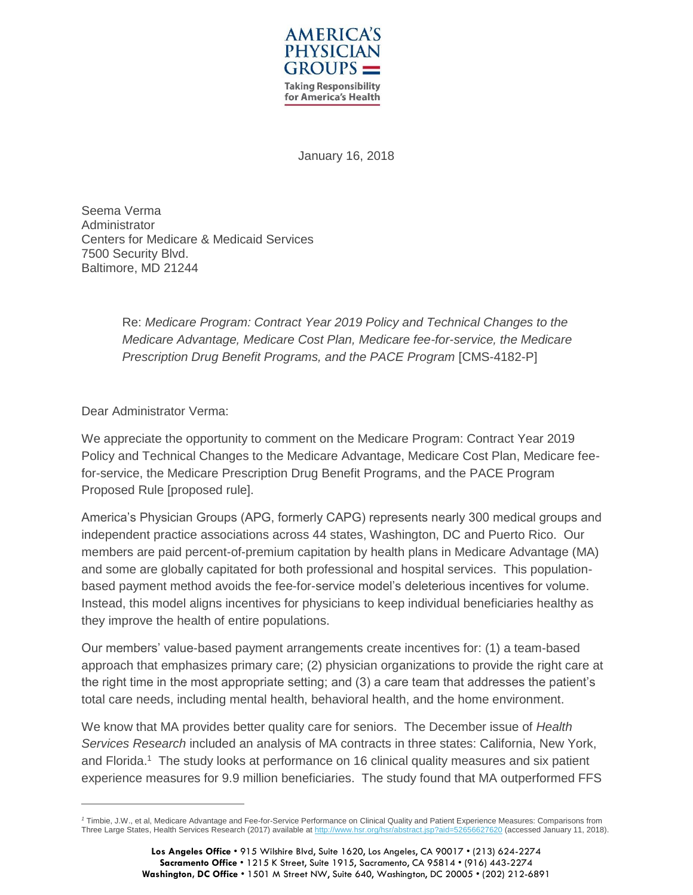

January 16, 2018

Seema Verma Administrator Centers for Medicare & Medicaid Services 7500 Security Blvd. Baltimore, MD 21244

> Re: *Medicare Program: Contract Year 2019 Policy and Technical Changes to the Medicare Advantage, Medicare Cost Plan, Medicare fee-for-service, the Medicare Prescription Drug Benefit Programs, and the PACE Program [CMS-4182-P]*

Dear Administrator Verma:

 $\overline{a}$ 

We appreciate the opportunity to comment on the Medicare Program: Contract Year 2019 Policy and Technical Changes to the Medicare Advantage, Medicare Cost Plan, Medicare feefor-service, the Medicare Prescription Drug Benefit Programs, and the PACE Program Proposed Rule [proposed rule].

America's Physician Groups (APG, formerly CAPG) represents nearly 300 medical groups and independent practice associations across 44 states, Washington, DC and Puerto Rico. Our members are paid percent-of-premium capitation by health plans in Medicare Advantage (MA) and some are globally capitated for both professional and hospital services. This populationbased payment method avoids the fee-for-service model's deleterious incentives for volume. Instead, this model aligns incentives for physicians to keep individual beneficiaries healthy as they improve the health of entire populations.

Our members' value-based payment arrangements create incentives for: (1) a team-based approach that emphasizes primary care; (2) physician organizations to provide the right care at the right time in the most appropriate setting; and (3) a care team that addresses the patient's total care needs, including mental health, behavioral health, and the home environment.

We know that MA provides better quality care for seniors. The December issue of *Health Services Research* included an analysis of MA contracts in three states: California, New York, and Florida.<sup>1</sup> The study looks at performance on 16 clinical quality measures and six patient experience measures for 9.9 million beneficiaries. The study found that MA outperformed FFS

*<sup>1</sup>* Timbie, J.W., et al, Medicare Advantage and Fee-for-Service Performance on Clinical Quality and Patient Experience Measures: Comparisons from Three Large States, Health Services Research (2017) available a[t http://www.hsr.org/hsr/abstract.jsp?aid=52656627620](http://www.hsr.org/hsr/abstract.jsp?aid=52656627620) (accessed January 11, 2018).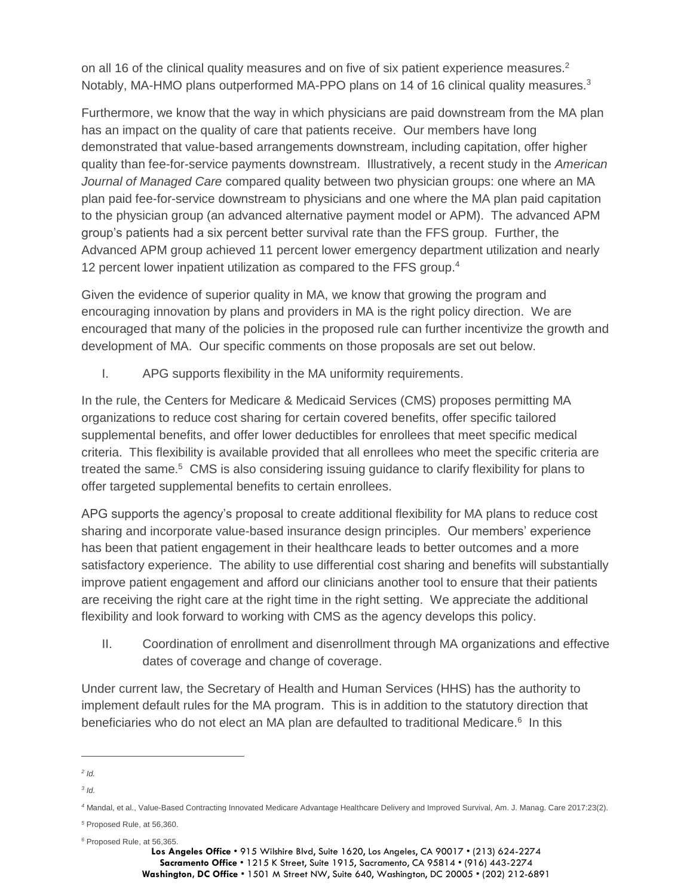on all 16 of the clinical quality measures and on five of six patient experience measures. $2$ Notably, MA-HMO plans outperformed MA-PPO plans on 14 of 16 clinical quality measures.<sup>3</sup>

Furthermore, we know that the way in which physicians are paid downstream from the MA plan has an impact on the quality of care that patients receive. Our members have long demonstrated that value-based arrangements downstream, including capitation, offer higher quality than fee-for-service payments downstream. Illustratively, a recent study in the *American Journal of Managed Care* compared quality between two physician groups: one where an MA plan paid fee-for-service downstream to physicians and one where the MA plan paid capitation to the physician group (an advanced alternative payment model or APM). The advanced APM group's patients had a six percent better survival rate than the FFS group. Further, the Advanced APM group achieved 11 percent lower emergency department utilization and nearly 12 percent lower inpatient utilization as compared to the FFS group.<sup>4</sup>

Given the evidence of superior quality in MA, we know that growing the program and encouraging innovation by plans and providers in MA is the right policy direction. We are encouraged that many of the policies in the proposed rule can further incentivize the growth and development of MA. Our specific comments on those proposals are set out below.

I. APG supports flexibility in the MA uniformity requirements.

In the rule, the Centers for Medicare & Medicaid Services (CMS) proposes permitting MA organizations to reduce cost sharing for certain covered benefits, offer specific tailored supplemental benefits, and offer lower deductibles for enrollees that meet specific medical criteria. This flexibility is available provided that all enrollees who meet the specific criteria are treated the same.<sup>5</sup> CMS is also considering issuing guidance to clarify flexibility for plans to offer targeted supplemental benefits to certain enrollees.

APG supports the agency's proposal to create additional flexibility for MA plans to reduce cost sharing and incorporate value-based insurance design principles. Our members' experience has been that patient engagement in their healthcare leads to better outcomes and a more satisfactory experience. The ability to use differential cost sharing and benefits will substantially improve patient engagement and afford our clinicians another tool to ensure that their patients are receiving the right care at the right time in the right setting. We appreciate the additional flexibility and look forward to working with CMS as the agency develops this policy.

II. Coordination of enrollment and disenrollment through MA organizations and effective dates of coverage and change of coverage.

Under current law, the Secretary of Health and Human Services (HHS) has the authority to implement default rules for the MA program. This is in addition to the statutory direction that beneficiaries who do not elect an MA plan are defaulted to traditional Medicare.<sup>6</sup> In this

*<sup>6</sup>* Proposed Rule, at 56,365.

 $\overline{a}$ *2 Id.*

*<sup>3</sup> Id.*

*<sup>4</sup>* Mandal, et al., Value-Based Contracting Innovated Medicare Advantage Healthcare Delivery and Improved Survival, Am. J. Manag. Care 2017:23(2).

*<sup>5</sup>* Proposed Rule, at 56,360.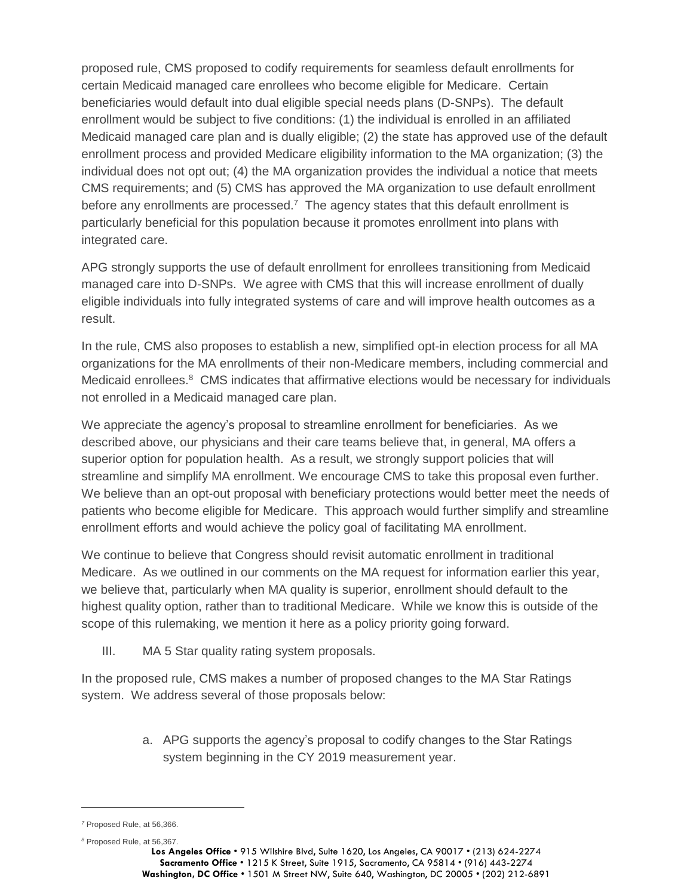proposed rule, CMS proposed to codify requirements for seamless default enrollments for certain Medicaid managed care enrollees who become eligible for Medicare. Certain beneficiaries would default into dual eligible special needs plans (D-SNPs). The default enrollment would be subject to five conditions: (1) the individual is enrolled in an affiliated Medicaid managed care plan and is dually eligible; (2) the state has approved use of the default enrollment process and provided Medicare eligibility information to the MA organization; (3) the individual does not opt out; (4) the MA organization provides the individual a notice that meets CMS requirements; and (5) CMS has approved the MA organization to use default enrollment before any enrollments are processed.<sup>7</sup> The agency states that this default enrollment is particularly beneficial for this population because it promotes enrollment into plans with integrated care.

APG strongly supports the use of default enrollment for enrollees transitioning from Medicaid managed care into D-SNPs. We agree with CMS that this will increase enrollment of dually eligible individuals into fully integrated systems of care and will improve health outcomes as a result.

In the rule, CMS also proposes to establish a new, simplified opt-in election process for all MA organizations for the MA enrollments of their non-Medicare members, including commercial and Medicaid enrollees.<sup>8</sup> CMS indicates that affirmative elections would be necessary for individuals not enrolled in a Medicaid managed care plan.

We appreciate the agency's proposal to streamline enrollment for beneficiaries. As we described above, our physicians and their care teams believe that, in general, MA offers a superior option for population health. As a result, we strongly support policies that will streamline and simplify MA enrollment. We encourage CMS to take this proposal even further. We believe than an opt-out proposal with beneficiary protections would better meet the needs of patients who become eligible for Medicare. This approach would further simplify and streamline enrollment efforts and would achieve the policy goal of facilitating MA enrollment.

We continue to believe that Congress should revisit automatic enrollment in traditional Medicare. As we outlined in our comments on the MA request for information earlier this year, we believe that, particularly when MA quality is superior, enrollment should default to the highest quality option, rather than to traditional Medicare. While we know this is outside of the scope of this rulemaking, we mention it here as a policy priority going forward.

III. MA 5 Star quality rating system proposals.

In the proposed rule, CMS makes a number of proposed changes to the MA Star Ratings system. We address several of those proposals below:

> a. APG supports the agency's proposal to codify changes to the Star Ratings system beginning in the CY 2019 measurement year.

 $\overline{a}$ 

*<sup>8</sup>* Proposed Rule, at 56,367.

*<sup>7</sup>* Proposed Rule, at 56,366.

**Los Angeles Office** • 915 Wilshire Blvd, Suite 1620, Los Angeles, CA 90017 • (213) 624-2274 **Sacramento Office** • 1215 K Street, Suite 1915, Sacramento, CA 95814 • (916) 443-2274 **Washington, DC Office** • 1501 M Street NW, Suite 640, Washington, DC 20005 • (202) 212-6891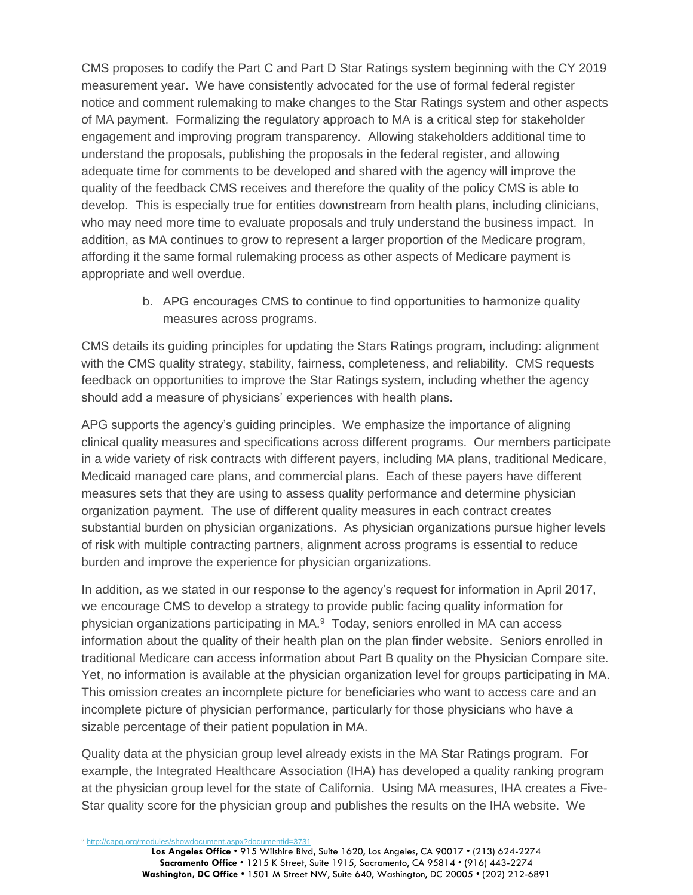CMS proposes to codify the Part C and Part D Star Ratings system beginning with the CY 2019 measurement year. We have consistently advocated for the use of formal federal register notice and comment rulemaking to make changes to the Star Ratings system and other aspects of MA payment. Formalizing the regulatory approach to MA is a critical step for stakeholder engagement and improving program transparency. Allowing stakeholders additional time to understand the proposals, publishing the proposals in the federal register, and allowing adequate time for comments to be developed and shared with the agency will improve the quality of the feedback CMS receives and therefore the quality of the policy CMS is able to develop. This is especially true for entities downstream from health plans, including clinicians, who may need more time to evaluate proposals and truly understand the business impact. In addition, as MA continues to grow to represent a larger proportion of the Medicare program, affording it the same formal rulemaking process as other aspects of Medicare payment is appropriate and well overdue.

> b. APG encourages CMS to continue to find opportunities to harmonize quality measures across programs.

CMS details its guiding principles for updating the Stars Ratings program, including: alignment with the CMS quality strategy, stability, fairness, completeness, and reliability. CMS requests feedback on opportunities to improve the Star Ratings system, including whether the agency should add a measure of physicians' experiences with health plans.

APG supports the agency's guiding principles. We emphasize the importance of aligning clinical quality measures and specifications across different programs. Our members participate in a wide variety of risk contracts with different payers, including MA plans, traditional Medicare, Medicaid managed care plans, and commercial plans. Each of these payers have different measures sets that they are using to assess quality performance and determine physician organization payment. The use of different quality measures in each contract creates substantial burden on physician organizations. As physician organizations pursue higher levels of risk with multiple contracting partners, alignment across programs is essential to reduce burden and improve the experience for physician organizations.

In addition, as we stated in our response to the agency's request for information in April 2017, we encourage CMS to develop a strategy to provide public facing quality information for physician organizations participating in MA.<sup>9</sup> Today, seniors enrolled in MA can access information about the quality of their health plan on the plan finder website. Seniors enrolled in traditional Medicare can access information about Part B quality on the Physician Compare site. Yet, no information is available at the physician organization level for groups participating in MA. This omission creates an incomplete picture for beneficiaries who want to access care and an incomplete picture of physician performance, particularly for those physicians who have a sizable percentage of their patient population in MA.

Quality data at the physician group level already exists in the MA Star Ratings program. For example, the Integrated Healthcare Association (IHA) has developed a quality ranking program at the physician group level for the state of California. Using MA measures, IHA creates a Five-Star quality score for the physician group and publishes the results on the IHA website. We

 $\overline{a}$ 

**Los Angeles Office** • 915 Wilshire Blvd, Suite 1620, Los Angeles, CA 90017 • (213) 624-2274 **Sacramento Office** • 1215 K Street, Suite 1915, Sacramento, CA 95814 • (916) 443-2274 **Washington, DC Office** • 1501 M Street NW, Suite 640, Washington, DC 20005 • (202) 212-6891 *<sup>9</sup>* <http://capg.org/modules/showdocument.aspx?documentid=3731>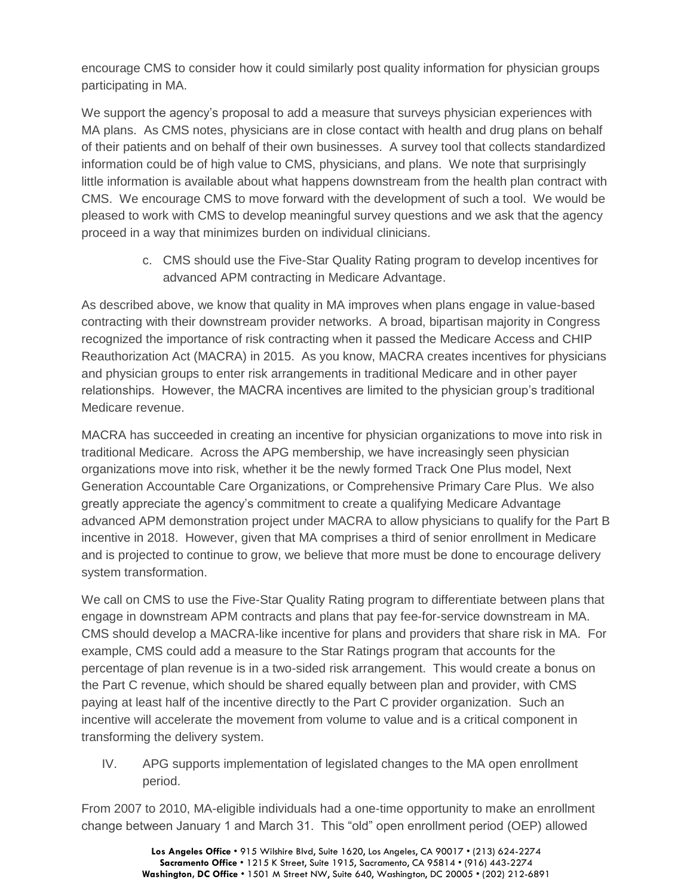encourage CMS to consider how it could similarly post quality information for physician groups participating in MA.

We support the agency's proposal to add a measure that surveys physician experiences with MA plans. As CMS notes, physicians are in close contact with health and drug plans on behalf of their patients and on behalf of their own businesses. A survey tool that collects standardized information could be of high value to CMS, physicians, and plans. We note that surprisingly little information is available about what happens downstream from the health plan contract with CMS. We encourage CMS to move forward with the development of such a tool. We would be pleased to work with CMS to develop meaningful survey questions and we ask that the agency proceed in a way that minimizes burden on individual clinicians.

> c. CMS should use the Five-Star Quality Rating program to develop incentives for advanced APM contracting in Medicare Advantage.

As described above, we know that quality in MA improves when plans engage in value-based contracting with their downstream provider networks. A broad, bipartisan majority in Congress recognized the importance of risk contracting when it passed the Medicare Access and CHIP Reauthorization Act (MACRA) in 2015. As you know, MACRA creates incentives for physicians and physician groups to enter risk arrangements in traditional Medicare and in other payer relationships. However, the MACRA incentives are limited to the physician group's traditional Medicare revenue.

MACRA has succeeded in creating an incentive for physician organizations to move into risk in traditional Medicare. Across the APG membership, we have increasingly seen physician organizations move into risk, whether it be the newly formed Track One Plus model, Next Generation Accountable Care Organizations, or Comprehensive Primary Care Plus. We also greatly appreciate the agency's commitment to create a qualifying Medicare Advantage advanced APM demonstration project under MACRA to allow physicians to qualify for the Part B incentive in 2018. However, given that MA comprises a third of senior enrollment in Medicare and is projected to continue to grow, we believe that more must be done to encourage delivery system transformation.

We call on CMS to use the Five-Star Quality Rating program to differentiate between plans that engage in downstream APM contracts and plans that pay fee-for-service downstream in MA. CMS should develop a MACRA-like incentive for plans and providers that share risk in MA. For example, CMS could add a measure to the Star Ratings program that accounts for the percentage of plan revenue is in a two-sided risk arrangement. This would create a bonus on the Part C revenue, which should be shared equally between plan and provider, with CMS paying at least half of the incentive directly to the Part C provider organization. Such an incentive will accelerate the movement from volume to value and is a critical component in transforming the delivery system.

IV. APG supports implementation of legislated changes to the MA open enrollment period.

From 2007 to 2010, MA-eligible individuals had a one-time opportunity to make an enrollment change between January 1 and March 31. This "old" open enrollment period (OEP) allowed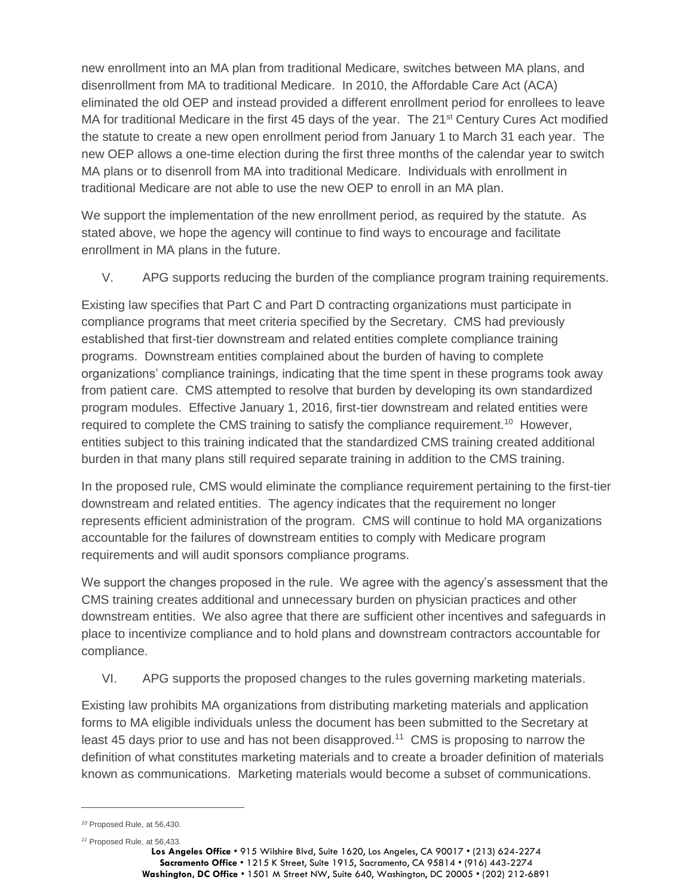new enrollment into an MA plan from traditional Medicare, switches between MA plans, and disenrollment from MA to traditional Medicare. In 2010, the Affordable Care Act (ACA) eliminated the old OEP and instead provided a different enrollment period for enrollees to leave MA for traditional Medicare in the first 45 days of the year. The  $21<sup>st</sup>$  Century Cures Act modified the statute to create a new open enrollment period from January 1 to March 31 each year. The new OEP allows a one-time election during the first three months of the calendar year to switch MA plans or to disenroll from MA into traditional Medicare. Individuals with enrollment in traditional Medicare are not able to use the new OEP to enroll in an MA plan.

We support the implementation of the new enrollment period, as required by the statute. As stated above, we hope the agency will continue to find ways to encourage and facilitate enrollment in MA plans in the future.

V. APG supports reducing the burden of the compliance program training requirements.

Existing law specifies that Part C and Part D contracting organizations must participate in compliance programs that meet criteria specified by the Secretary. CMS had previously established that first-tier downstream and related entities complete compliance training programs. Downstream entities complained about the burden of having to complete organizations' compliance trainings, indicating that the time spent in these programs took away from patient care. CMS attempted to resolve that burden by developing its own standardized program modules. Effective January 1, 2016, first-tier downstream and related entities were required to complete the CMS training to satisfy the compliance requirement.<sup>10</sup> However, entities subject to this training indicated that the standardized CMS training created additional burden in that many plans still required separate training in addition to the CMS training.

In the proposed rule, CMS would eliminate the compliance requirement pertaining to the first-tier downstream and related entities. The agency indicates that the requirement no longer represents efficient administration of the program. CMS will continue to hold MA organizations accountable for the failures of downstream entities to comply with Medicare program requirements and will audit sponsors compliance programs.

We support the changes proposed in the rule. We agree with the agency's assessment that the CMS training creates additional and unnecessary burden on physician practices and other downstream entities. We also agree that there are sufficient other incentives and safeguards in place to incentivize compliance and to hold plans and downstream contractors accountable for compliance.

VI. APG supports the proposed changes to the rules governing marketing materials.

Existing law prohibits MA organizations from distributing marketing materials and application forms to MA eligible individuals unless the document has been submitted to the Secretary at least 45 days prior to use and has not been disapproved.<sup>11</sup> CMS is proposing to narrow the definition of what constitutes marketing materials and to create a broader definition of materials known as communications. Marketing materials would become a subset of communications.

 $\overline{a}$ 

*<sup>11</sup>* Proposed Rule, at 56,433.

*<sup>10</sup>* Proposed Rule, at 56,430.

**Los Angeles Office** • 915 Wilshire Blvd, Suite 1620, Los Angeles, CA 90017 • (213) 624-2274 **Sacramento Office** • 1215 K Street, Suite 1915, Sacramento, CA 95814 • (916) 443-2274 **Washington, DC Office** • 1501 M Street NW, Suite 640, Washington, DC 20005 • (202) 212-6891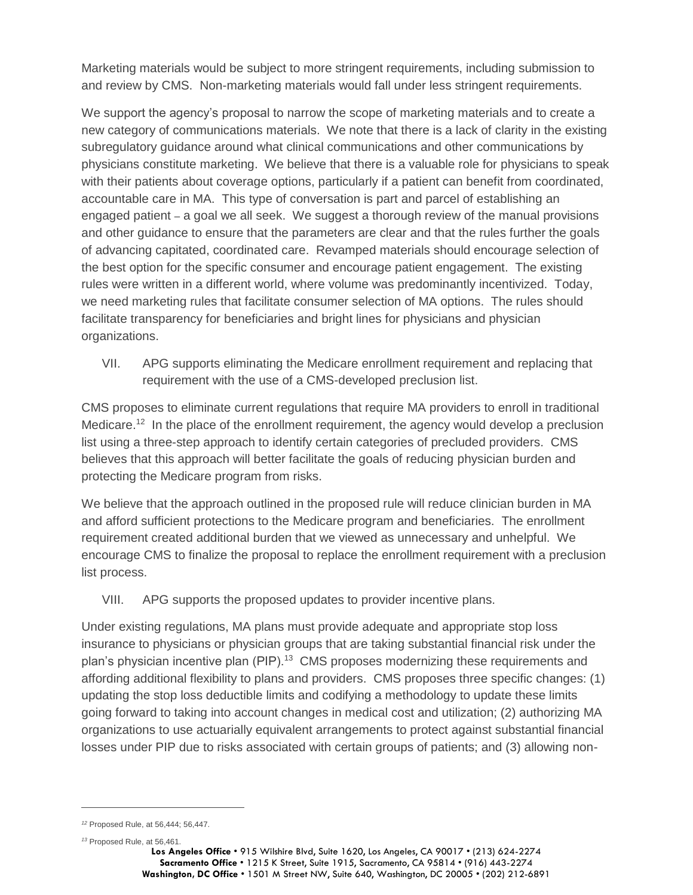Marketing materials would be subject to more stringent requirements, including submission to and review by CMS. Non-marketing materials would fall under less stringent requirements.

We support the agency's proposal to narrow the scope of marketing materials and to create a new category of communications materials. We note that there is a lack of clarity in the existing subregulatory guidance around what clinical communications and other communications by physicians constitute marketing. We believe that there is a valuable role for physicians to speak with their patients about coverage options, particularly if a patient can benefit from coordinated, accountable care in MA. This type of conversation is part and parcel of establishing an engaged patient – a goal we all seek. We suggest a thorough review of the manual provisions and other guidance to ensure that the parameters are clear and that the rules further the goals of advancing capitated, coordinated care. Revamped materials should encourage selection of the best option for the specific consumer and encourage patient engagement. The existing rules were written in a different world, where volume was predominantly incentivized. Today, we need marketing rules that facilitate consumer selection of MA options. The rules should facilitate transparency for beneficiaries and bright lines for physicians and physician organizations.

VII. APG supports eliminating the Medicare enrollment requirement and replacing that requirement with the use of a CMS-developed preclusion list.

CMS proposes to eliminate current regulations that require MA providers to enroll in traditional Medicare.<sup>12</sup> In the place of the enrollment requirement, the agency would develop a preclusion list using a three-step approach to identify certain categories of precluded providers. CMS believes that this approach will better facilitate the goals of reducing physician burden and protecting the Medicare program from risks.

We believe that the approach outlined in the proposed rule will reduce clinician burden in MA and afford sufficient protections to the Medicare program and beneficiaries. The enrollment requirement created additional burden that we viewed as unnecessary and unhelpful. We encourage CMS to finalize the proposal to replace the enrollment requirement with a preclusion list process.

VIII. APG supports the proposed updates to provider incentive plans.

Under existing regulations, MA plans must provide adequate and appropriate stop loss insurance to physicians or physician groups that are taking substantial financial risk under the plan's physician incentive plan (PIP).<sup>13</sup> CMS proposes modernizing these requirements and affording additional flexibility to plans and providers. CMS proposes three specific changes: (1) updating the stop loss deductible limits and codifying a methodology to update these limits going forward to taking into account changes in medical cost and utilization; (2) authorizing MA organizations to use actuarially equivalent arrangements to protect against substantial financial losses under PIP due to risks associated with certain groups of patients; and (3) allowing non-

 $\overline{a}$ 

*<sup>12</sup>* Proposed Rule, at 56,444; 56,447.

*<sup>13</sup>* Proposed Rule, at 56,461.

**Los Angeles Office** • 915 Wilshire Blvd, Suite 1620, Los Angeles, CA 90017 • (213) 624-2274 **Sacramento Office** • 1215 K Street, Suite 1915, Sacramento, CA 95814 • (916) 443-2274 **Washington, DC Office** • 1501 M Street NW, Suite 640, Washington, DC 20005 • (202) 212-6891